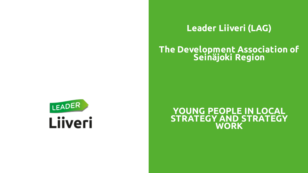

### **Leader Liiveri (LAG)**

### **The Development Association of Seinäjoki Region**

#### **YOUNG PEOPLE IN LOCAL STRATEGY AND STRATEGY WORK**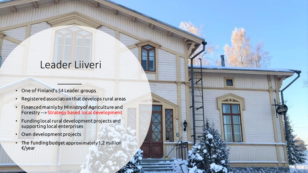### Leader Liiveri

- One of Finland's 54 Leader groups
- Registered association that develops rural areas
- Financed mainly by Ministry of Agriculture and Forestry -->Strategy based local development
- Funding local rural development projects and supporting local enterprises
- Own development projects
- The funding budget approximately 1,2 million €/year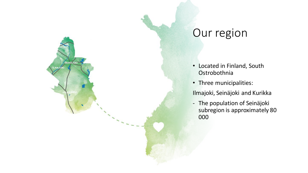

SEINÄJOKI

LMA<sub>IC</sub>

### Our region

- Located in Finland, South Ostrobothnia
- Three municipalities:

Ilmajoki, Seinäjoki and Kurikka

- The population of Seinäjoki subregion is approximately 80 000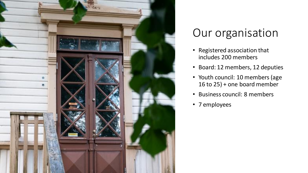

### Our organisation

- Registered association that includes 200 members
- Board: 12 members, 12 deputies
- Youth council: 10 members (age 16 to 25) + one board member
- Business council: 8 members
- 7 employees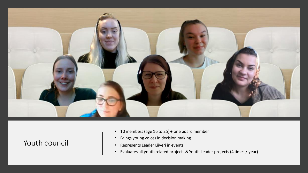

#### Youth council

- 10 members (age 16 to 25) + one board member
- Brings young voices in decision making
- Represents Leader Liiveri in events
- Evaluates all youth related projects & Youth Leader projects (4 times / year)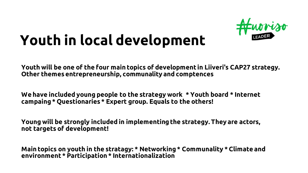

# **Youth in local development**

**Youth will be one of the four main topics of development in Liiveri's CAP27 strategy. Other themes entrepreneurship, communality and comptences**

**We have included young people to the strategy work \* Youth board \* Internet campaing\* Questionaries \* Expert group. Equals to the others!**

**Young will be strongly included in implementingthe strategy. They are actors, not targets of development!**

**Main topics on youth in the stratagy: \* Networking \* Communality \* Climate and environment \* Participation \* Internationalization**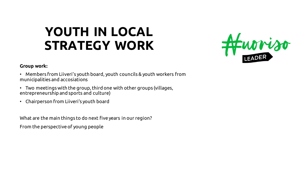## **YOUTH IN LOCAL STRATEGY WORK**



#### **Group work:**

- Members from Liiveri's youth board, youth councils & youth workers from municipalities and accosiations
- Two meetings with the group, third one with other groups (villages, entrepreneurship and sports and culture)
- Chairperson from Liiveri's youth board

What are the main things to do next five years in our region? From the perspective of young people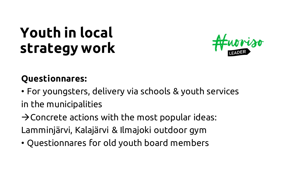## **Youth in local strategy work**



### **Questionnares:**

- For youngsters, delivery via schools & youth services in the municipalities
- $\rightarrow$  Concrete actions with the most popular ideas: Lamminjärvi, Kalajärvi & Ilmajoki outdoor gym
- Questionnares for old youth board members